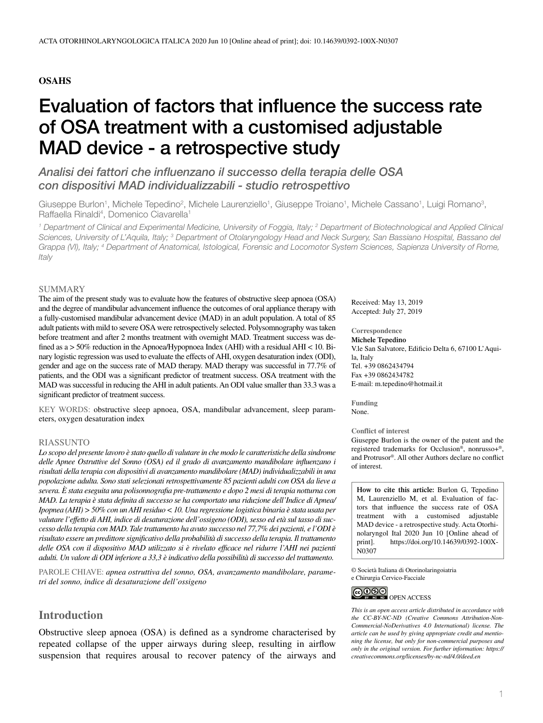## **OSAHS**

# Evaluation of factors that influence the success rate of OSA treatment with a customised adjustable MAD device - a retrospective study

*Analisi dei fattori che influenzano il successo della terapia delle OSA con dispositivi MAD individualizzabili - studio retrospettivo*

Giuseppe Burlon<sup>1</sup>, Michele Tepedino<sup>2</sup>, Michele Laurenziello<sup>1</sup>, Giuseppe Troiano<sup>1</sup>, Michele Cassano<sup>1</sup>, Luigi Romano<sup>3</sup>, Raffaella Rinaldi<sup>4</sup>, Domenico Ciavarella<sup>1</sup>

<sup>1</sup> Department of Clinical and Experimental Medicine, University of Foggia, Italy; <sup>2</sup> Department of Biotechnological and Applied Clinical Sciences, University of L'Aquila, Italy; <sup>3</sup> Department of Otolaryngology Head and Neck Surgery, San Bassiano Hospital, Bassano del *Grappa (VI), Italy; 4 Department of Anatomical, Istological, Forensic and Locomotor System Sciences, Sapienza University of Rome, Italy*

#### SUMMARY

The aim of the present study was to evaluate how the features of obstructive sleep apnoea (OSA) and the degree of mandibular advancement influence the outcomes of oral appliance therapy with a fully-customised mandibular advancement device (MAD) in an adult population. A total of 85 adult patients with mild to severe OSA were retrospectively selected. Polysomnography was taken before treatment and after 2 months treatment with overnight MAD. Treatment success was defined as a > 50% reduction in the Apnoea/Hypopnoea Index (AHI) with a residual AHI < 10. Binary logistic regression was used to evaluate the effects of AHI, oxygen desaturation index (ODI), gender and age on the success rate of MAD therapy. MAD therapy was successful in 77.7% of patients, and the ODI was a significant predictor of treatment success. OSA treatment with the MAD was successful in reducing the AHI in adult patients. An ODI value smaller than 33.3 was a significant predictor of treatment success.

KEY WORDS: obstructive sleep apnoea, OSA, mandibular advancement, sleep parameters, oxygen desaturation index

#### RIASSUNTO

*Lo scopo del presente lavoro è stato quello di valutare in che modo le caratteristiche della sindrome delle Apnee Ostruttive del Sonno (OSA) ed il grado di avanzamento mandibolare influenzano i risultati della terapia con dispositivi di avanzamento mandibolare (MAD) individualizzabili in una popolazione adulta. Sono stati selezionati retrospettivamente 85 pazienti adulti con OSA da lieve a severa. È stata eseguita una polisonnografia pre-trattamento e dopo 2 mesi di terapia notturna con MAD. La terapia è stata definita di successo se ha comportato una riduzione dell'Indice di Apnea/ Ipopnea (AHI) > 50% con un AHI residuo < 10. Una regressione logistica binaria è stata usata per valutare l'effetto di AHI, indice di desaturazione dell'ossigeno (ODI), sesso ed età sul tasso di successo della terapia con MAD. Tale trattamento ha avuto successo nel 77,7% dei pazienti, e l'ODI è risultato essere un predittore significativo della probabilità di successo della terapia. Il trattamento delle OSA con il dispositivo MAD utilizzato si è rivelato efficace nel ridurre l'AHI nei pazienti adulti. Un valore di ODI inferiore a 33,3 è indicativo della possibilità di successo del trattamento.*

PAROLE CHIAVE: *apnea ostruttiva del sonno, OSA, avanzamento mandibolare, parametri del sonno, indice di desaturazione dell'ossigeno*

## **Introduction**

Obstructive sleep apnoea (OSA) is defined as a syndrome characterised by repeated collapse of the upper airways during sleep, resulting in airflow suspension that requires arousal to recover patency of the airways and Received: May 13, 2019 Accepted: July 27, 2019

## **Correspondence**

**Michele Tepedino** V.le San Salvatore, Edificio Delta 6, 67100 L'Aquila, Italy Tel. +39 0862434794 Fax +39 0862434782 E-mail: [m.tepedino@hotmail.it](mailto:m.tepedino@hotmail.it)

**Funding** None.

#### **Conflict of interest**

Giuseppe Burlon is the owner of the patent and the registered trademarks for Occlusion®, nonrusso+®, and Protrusor®. All other Authors declare no conflict of interest.

**How to cite this article:** Burlon G, Tepedino M, Laurenziello M, et al. Evaluation of factors that influence the success rate of OSA treatment with a customised adjustable MAD device - a retrospective study. Acta Otorhinolaryngol Ital 2020 Jun 10 [Online ahead of print]. [https://doi.org/10.14639/0392-100X-](https://doi.org/10.14639/0392-100X-N0307)N0307

© Società Italiana di Otorinolaringoiatria e Chirurgia Cervico-Facciale



*This is an open access article distributed in accordance with the CC-BY-NC-ND (Creative Commons Attribution-Non-Commercial-NoDerivatives 4.0 International) license. The article can be used by giving appropriate credit and mentioning the license, but only for non-commercial purposes and only in the original version. For further information: https:// creativecommons.org/licenses/by-nc-nd/4.0/deed.en*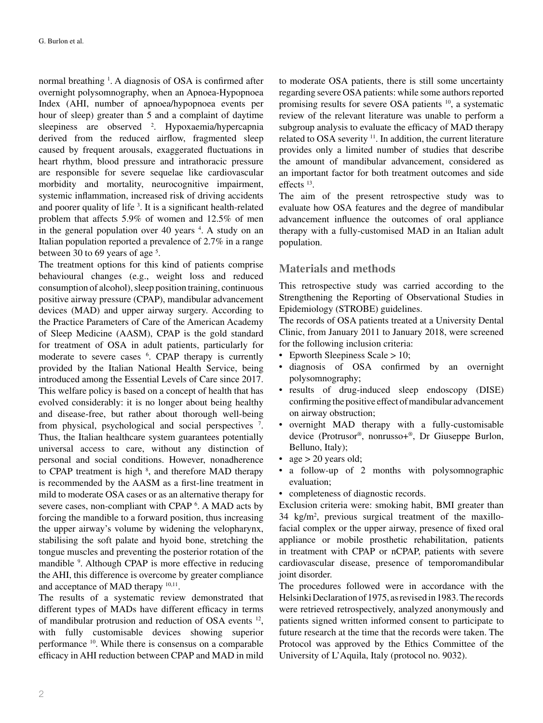normal breathing <sup>1</sup>. A diagnosis of OSA is confirmed after overnight polysomnography, when an Apnoea-Hypopnoea Index (AHI, number of apnoea/hypopnoea events per hour of sleep) greater than 5 and a complaint of daytime sleepiness are observed <sup>2</sup>. Hypoxaemia/hypercapnia derived from the reduced airflow, fragmented sleep caused by frequent arousals, exaggerated fluctuations in heart rhythm, blood pressure and intrathoracic pressure are responsible for severe sequelae like cardiovascular morbidity and mortality, neurocognitive impairment, systemic inflammation, increased risk of driving accidents and poorer quality of life<sup>3</sup>. It is a significant health-related problem that affects 5.9% of women and 12.5% of men in the general population over 40 years <sup>4</sup>. A study on an Italian population reported a prevalence of 2.7% in a range between 30 to 69 years of age<sup>5</sup>.

The treatment options for this kind of patients comprise behavioural changes (e.g., weight loss and reduced consumption of alcohol), sleep position training, continuous positive airway pressure (CPAP), mandibular advancement devices (MAD) and upper airway surgery. According to the Practice Parameters of Care of the American Academy of Sleep Medicine (AASM), CPAP is the gold standard for treatment of OSA in adult patients, particularly for moderate to severe cases <sup>6</sup>. CPAP therapy is currently provided by the Italian National Health Service, being introduced among the Essential Levels of Care since 2017. This welfare policy is based on a concept of health that has evolved considerably: it is no longer about being healthy and disease-free, but rather about thorough well-being from physical, psychological and social perspectives <sup>7</sup>. Thus, the Italian healthcare system guarantees potentially universal access to care, without any distinction of personal and social conditions. However, nonadherence to CPAP treatment is high  $\delta$ , and therefore MAD therapy is recommended by the AASM as a first-line treatment in mild to moderate OSA cases or as an alternative therapy for severe cases, non-compliant with CPAP<sup>6</sup>. A MAD acts by forcing the mandible to a forward position, thus increasing the upper airway's volume by widening the velopharynx, stabilising the soft palate and hyoid bone, stretching the tongue muscles and preventing the posterior rotation of the mandible <sup>9</sup>. Although CPAP is more effective in reducing the AHI, this difference is overcome by greater compliance and acceptance of MAD therapy 10,11.

The results of a systematic review demonstrated that different types of MADs have different efficacy in terms of mandibular protrusion and reduction of OSA events 12, with fully customisable devices showing superior performance 10. While there is consensus on a comparable efficacy in AHI reduction between CPAP and MAD in mild to moderate OSA patients, there is still some uncertainty regarding severe OSA patients: while some authors reported promising results for severe OSA patients 10, a systematic review of the relevant literature was unable to perform a subgroup analysis to evaluate the efficacy of MAD therapy related to OSA severity 11. In addition, the current literature provides only a limited number of studies that describe the amount of mandibular advancement, considered as an important factor for both treatment outcomes and side effects 13.

The aim of the present retrospective study was to evaluate how OSA features and the degree of mandibular advancement influence the outcomes of oral appliance therapy with a fully-customised MAD in an Italian adult population.

## **Materials and methods**

This retrospective study was carried according to the Strengthening the Reporting of Observational Studies in Epidemiology (STROBE) guidelines.

The records of OSA patients treated at a University Dental Clinic, from January 2011 to January 2018, were screened for the following inclusion criteria:

- Epworth Sleepiness Scale > 10;
- diagnosis of OSA confirmed by an overnight polysomnography;
- results of drug-induced sleep endoscopy (DISE) confirming the positive effect of mandibular advancement on airway obstruction;
- overnight MAD therapy with a fully-customisable device (Protrusor®, nonrusso+®, Dr Giuseppe Burlon, Belluno, Italy);
- age  $> 20$  years old;
- a follow-up of 2 months with polysomnographic evaluation;
- completeness of diagnostic records.

Exclusion criteria were: smoking habit, BMI greater than 34 kg/m2 , previous surgical treatment of the maxillofacial complex or the upper airway, presence of fixed oral appliance or mobile prosthetic rehabilitation, patients in treatment with CPAP or nCPAP, patients with severe cardiovascular disease, presence of temporomandibular joint disorder.

The procedures followed were in accordance with the Helsinki Declaration of 1975, as revised in 1983. The records were retrieved retrospectively, analyzed anonymously and patients signed written informed consent to participate to future research at the time that the records were taken. The Protocol was approved by the Ethics Committee of the University of L'Aquila, Italy (protocol no. 9032).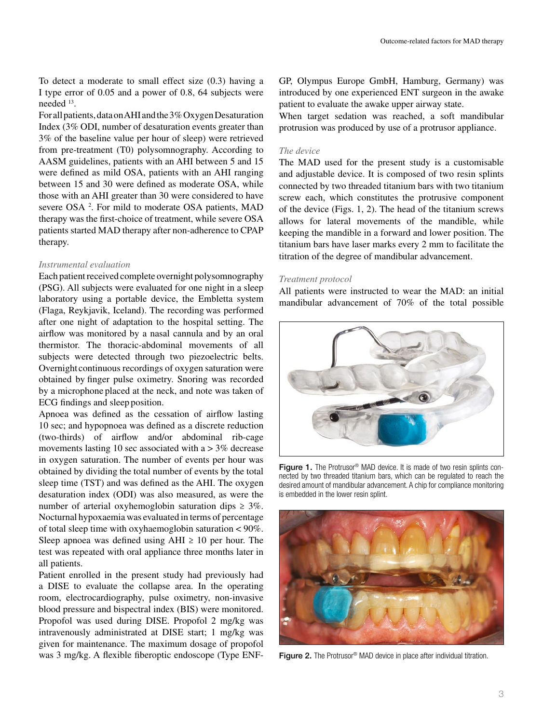To detect a moderate to small effect size (0.3) having a I type error of 0.05 and a power of 0.8, 64 subjects were needed 13.

For all patients, data on AHI and the 3% Oxygen Desaturation Index (3% ODI, number of desaturation events greater than 3% of the baseline value per hour of sleep) were retrieved from pre-treatment (T0) polysomnography. According to AASM guidelines, patients with an AHI between 5 and 15 were defined as mild OSA, patients with an AHI ranging between 15 and 30 were defined as moderate OSA, while those with an AHI greater than 30 were considered to have severe OSA<sup>2</sup>. For mild to moderate OSA patients, MAD therapy was the first-choice of treatment, while severe OSA patients started MAD therapy after non-adherence to CPAP therapy.

#### *Instrumental evaluation*

Each patient received complete overnight polysomnography (PSG). All subjects were evaluated for one night in a sleep laboratory using a portable device, the Embletta system (Flaga, Reykjavik, Iceland). The recording was performed after one night of adaptation to the hospital setting. The airflow was monitored by a nasal cannula and by an oral thermistor. The thoracic-abdominal movements of all subjects were detected through two piezoelectric belts. Overnight continuous recordings of oxygen saturation were obtained by finger pulse oximetry. Snoring was recorded by a microphone placed at the neck, and note was taken of ECG findings and sleep position.

Apnoea was defined as the cessation of airflow lasting 10 sec; and hypopnoea was defined as a discrete reduction (two-thirds) of airflow and/or abdominal rib-cage movements lasting 10 sec associated with  $a > 3\%$  decrease in oxygen saturation. The number of events per hour was obtained by dividing the total number of events by the total sleep time (TST) and was defined as the AHI. The oxygen desaturation index (ODI) was also measured, as were the number of arterial oxyhemoglobin saturation dips  $\geq 3\%$ . Nocturnal hypoxaemia was evaluated in terms of percentage of total sleep time with oxyhaemoglobin saturation < 90%. Sleep apnoea was defined using  $AHI \geq 10$  per hour. The test was repeated with oral appliance three months later in all patients.

Patient enrolled in the present study had previously had a DISE to evaluate the collapse area. In the operating room, electrocardiography, pulse oximetry, non-invasive blood pressure and bispectral index (BIS) were monitored. Propofol was used during DISE. Propofol 2 mg/kg was intravenously administrated at DISE start; 1 mg/kg was given for maintenance. The maximum dosage of propofol was 3 mg/kg. A flexible fiberoptic endoscope (Type ENF-

GP, Olympus Europe GmbH, Hamburg, Germany) was introduced by one experienced ENT surgeon in the awake patient to evaluate the awake upper airway state.

When target sedation was reached, a soft mandibular protrusion was produced by use of a protrusor appliance.

### *The device*

The MAD used for the present study is a customisable and adjustable device. It is composed of two resin splints connected by two threaded titanium bars with two titanium screw each, which constitutes the protrusive component of the device (Figs. 1, 2). The head of the titanium screws allows for lateral movements of the mandible, while keeping the mandible in a forward and lower position. The titanium bars have laser marks every 2 mm to facilitate the titration of the degree of mandibular advancement.

#### *Treatment protocol*

All patients were instructed to wear the MAD: an initial mandibular advancement of 70% of the total possible



Figure 1. The Protrusor<sup>®</sup> MAD device. It is made of two resin splints connected by two threaded titanium bars, which can be regulated to reach the desired amount of mandibular advancement. A chip for compliance monitoring is embedded in the lower resin splint.



Figure 2. The Protrusor<sup>®</sup> MAD device in place after individual titration.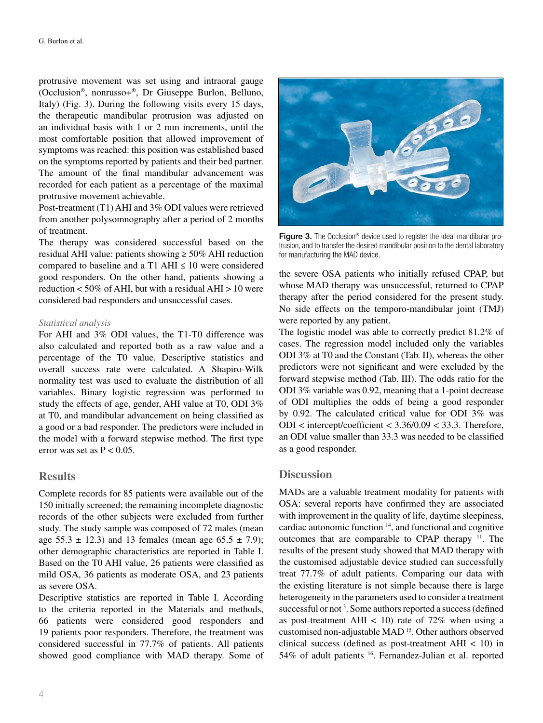protrusive movement was set using and intraoral gauge (Occlusion®, nonrusso+®, Dr Giuseppe Burlon, Belluno, Italy) (Fig. 3). During the following visits every 15 days, the therapeutic mandibular protrusion was adjusted on an individual basis with 1 or 2 mm increments, until the most comfortable position that allowed improvement of symptoms was reached: this position was established based on the symptoms reported by patients and their bed partner. The amount of the final mandibular advancement was recorded for each patient as a percentage of the maximal protrusive movement achievable.

Post-treatment (T1) AHI and 3% ODI values were retrieved from another polysomnography after a period of 2 months of treatment.

The therapy was considered successful based on the residual AHI value: patients showing ≥ 50% AHI reduction compared to baseline and a T1 AHI  $\leq 10$  were considered good responders. On the other hand, patients showing a reduction  $< 50\%$  of AHI, but with a residual AHI  $> 10$  were considered bad responders and unsuccessful cases.

#### *Statistical analysis*

For AHI and 3% ODI values, the T1-T0 difference was also calculated and reported both as a raw value and a percentage of the T0 value. Descriptive statistics and overall success rate were calculated. A Shapiro-Wilk normality test was used to evaluate the distribution of all variables. Binary logistic regression was performed to study the effects of age, gender, AHI value at T0, ODI 3% at T0, and mandibular advancement on being classified as a good or a bad responder. The predictors were included in the model with a forward stepwise method. The first type error was set as  $P < 0.05$ .

## **Results**

Complete records for 85 patients were available out of the 150 initially screened; the remaining incomplete diagnostic records of the other subjects were excluded from further study. The study sample was composed of 72 males (mean age  $55.3 \pm 12.3$ ) and 13 females (mean age  $65.5 \pm 7.9$ ); other demographic characteristics are reported in Table I. Based on the T0 AHI value, 26 patients were classified as mild OSA, 36 patients as moderate OSA, and 23 patients as severe OSA.

Descriptive statistics are reported in Table I. According to the criteria reported in the Materials and methods, 66 patients were considered good responders and 19 patients poor responders. Therefore, the treatment was considered successful in 77.7% of patients. All patients showed good compliance with MAD therapy. Some of



Figure 3. The Occlusion<sup>®</sup> device used to register the ideal mandibular protrusion, and to transfer the desired mandibular position to the dental laboratory for manufacturing the MAD device.

the severe OSA patients who initially refused CPAP, but whose MAD therapy was unsuccessful, returned to CPAP therapy after the period considered for the present study. No side effects on the temporo-mandibular joint (TMJ) were reported by any patient.

The logistic model was able to correctly predict 81.2% of cases. The regression model included only the variables ODI 3% at T0 and the Constant (Tab. II), whereas the other predictors were not significant and were excluded by the forward stepwise method (Tab. III). The odds ratio for the ODI 3% variable was 0.92, meaning that a 1-point decrease of ODI multiplies the odds of being a good responder by 0.92. The calculated critical value for ODI 3% was ODI < intercept/coefficient < 3.36/0.09 < 33.3. Therefore, an ODI value smaller than 33.3 was needed to be classified as a good responder.

## **Discussion**

MADs are a valuable treatment modality for patients with OSA: several reports have confirmed they are associated with improvement in the quality of life, daytime sleepiness, cardiac autonomic function 14, and functional and cognitive outcomes that are comparable to CPAP therapy 11. The results of the present study showed that MAD therapy with the customised adjustable device studied can successfully treat 77.7% of adult patients. Comparing our data with the existing literature is not simple because there is large heterogeneity in the parameters used to consider a treatment successful or not<sup>3</sup>. Some authors reported a success (defined as post-treatment AHI  $< 10$ ) rate of 72% when using a customised non-adjustable MAD 15. Other authors observed clinical success (defined as post-treatment AHI  $< 10$ ) in 54% of adult patients 16. Fernandez-Julian et al. reported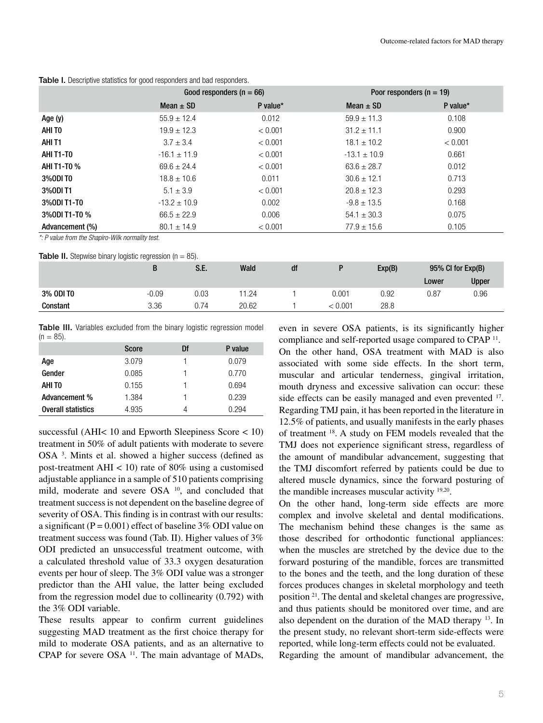|                 | Good responders ( $n = 66$ ) |          | Poor responders ( $n = 19$ ) |          |  |
|-----------------|------------------------------|----------|------------------------------|----------|--|
|                 | Mean $\pm$ SD                | P value* | Mean $\pm$ SD                | P value* |  |
| Age (y)         | $55.9 \pm 12.4$              | 0.012    | $59.9 \pm 11.3$              | 0.108    |  |
| AHI TO          | $19.9 \pm 12.3$              | < 0.001  | $31.2 \pm 11.1$              | 0.900    |  |
| AHI T1          | $3.7 \pm 3.4$                | < 0.001  | $18.1 \pm 10.2$              | < 0.001  |  |
| AHI T1-T0       | $-16.1 \pm 11.9$             | < 0.001  | $-13.1 \pm 10.9$             | 0.661    |  |
| AHI T1-T0 %     | $69.6 \pm 24.4$              | < 0.001  | $63.6 \pm 28.7$              | 0.012    |  |
| 3%0DI TO        | $18.8 \pm 10.6$              | 0.011    | $30.6 \pm 12.1$              | 0.713    |  |
| 3%0DI T1        | $5.1 \pm 3.9$                | < 0.001  | $20.8 \pm 12.3$              | 0.293    |  |
| 3%0DI T1-T0     | $-13.2 \pm 10.9$             | 0.002    | $-9.8 \pm 13.5$              | 0.168    |  |
| 3% ODI T1-T0 %  | $66.5 \pm 22.9$              | 0.006    | $54.1 \pm 30.3$              | 0.075    |  |
| Advancement (%) | $80.1 \pm 14.9$              | < 0.001  | $77.9 \pm 15.6$              | 0.105    |  |

Table I. Descriptive statistics for good responders and bad responders.

*\*: P value from the Shapiro-Wilk normality test.*

| <b>Table II.</b> Stepwise binary logistic regression ( $n = 85$ ). |         |      |       |    |         |        |                   |              |
|--------------------------------------------------------------------|---------|------|-------|----|---------|--------|-------------------|--------------|
|                                                                    | B       | S.E. | Wald  | df |         | Exp(B) | 95% CI for Exp(B) |              |
|                                                                    |         |      |       |    |         |        | Lower             | <b>Upper</b> |
| 3% ODI TO                                                          | $-0.09$ | 0.03 | 11.24 |    | 0.001   | 0.92   | 0.87              | 0.96         |
| Constant                                                           | 3.36    | 0.74 | 20.62 |    | < 0.001 | 28.8   |                   |              |

Table III. Variables excluded from the binary logistic regression model  $(n = 85)$ .

|                           | <b>Score</b> | Df | P value |
|---------------------------|--------------|----|---------|
| Age                       | 3.079        |    | 0.079   |
| Gender                    | 0.085        |    | 0.770   |
| AHI TO                    | 0.155        |    | 0.694   |
| Advancement %             | 1.384        |    | 0.239   |
| <b>Overall statistics</b> | 4.935        |    | 0.294   |

successful (AHI< 10 and Epworth Sleepiness Score < 10) treatment in 50% of adult patients with moderate to severe OSA<sup>3</sup>. Mints et al. showed a higher success (defined as post-treatment AHI  $< 10$ ) rate of 80% using a customised adjustable appliance in a sample of 510 patients comprising mild, moderate and severe OSA <sup>10</sup>, and concluded that treatment success is not dependent on the baseline degree of severity of OSA. This finding is in contrast with our results: a significant ( $P = 0.001$ ) effect of baseline 3% ODI value on treatment success was found (Tab. II). Higher values of 3% ODI predicted an unsuccessful treatment outcome, with a calculated threshold value of 33.3 oxygen desaturation events per hour of sleep. The 3% ODI value was a stronger predictor than the AHI value, the latter being excluded from the regression model due to collinearity (0.792) with the 3% ODI variable.

These results appear to confirm current guidelines suggesting MAD treatment as the first choice therapy for mild to moderate OSA patients, and as an alternative to CPAP for severe OSA<sup>11</sup>. The main advantage of MADs, even in severe OSA patients, is its significantly higher compliance and self-reported usage compared to CPAP 11.

On the other hand, OSA treatment with MAD is also associated with some side effects. In the short term, muscular and articular tenderness, gingival irritation, mouth dryness and excessive salivation can occur: these side effects can be easily managed and even prevented <sup>17</sup>. Regarding TMJ pain, it has been reported in the literature in 12.5% of patients, and usually manifests in the early phases of treatment 18. A study on FEM models revealed that the TMJ does not experience significant stress, regardless of the amount of mandibular advancement, suggesting that the TMJ discomfort referred by patients could be due to altered muscle dynamics, since the forward posturing of the mandible increases muscular activity 19,20.

On the other hand, long-term side effects are more complex and involve skeletal and dental modifications. The mechanism behind these changes is the same as those described for orthodontic functional appliances: when the muscles are stretched by the device due to the forward posturing of the mandible, forces are transmitted to the bones and the teeth, and the long duration of these forces produces changes in skeletal morphology and teeth position 21. The dental and skeletal changes are progressive, and thus patients should be monitored over time, and are also dependent on the duration of the MAD therapy 13. In the present study, no relevant short-term side-effects were reported, while long-term effects could not be evaluated.

Regarding the amount of mandibular advancement, the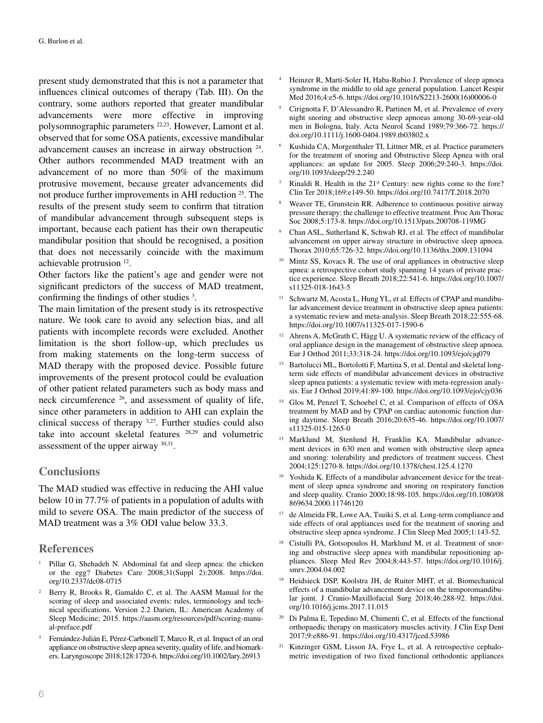present study demonstrated that this is not a parameter that influences clinical outcomes of therapy (Tab. III). On the contrary, some authors reported that greater mandibular advancements were more effective in improving polysomnographic parameters 22,23. However, Lamont et al. observed that for some OSA patients, excessive mandibular advancement causes an increase in airway obstruction 24. Other authors recommended MAD treatment with an advancement of no more than 50% of the maximum protrusive movement, because greater advancements did not produce further improvements in AHI reduction 25. The results of the present study seem to confirm that titration of mandibular advancement through subsequent steps is important, because each patient has their own therapeutic mandibular position that should be recognised, a position that does not necessarily coincide with the maximum achievable protrusion 12.

Other factors like the patient's age and gender were not significant predictors of the success of MAD treatment, confirming the findings of other studies<sup>3</sup>.

The main limitation of the present study is its retrospective nature. We took care to avoid any selection bias, and all patients with incomplete records were excluded. Another limitation is the short follow-up, which precludes us from making statements on the long-term success of MAD therapy with the proposed device. Possible future improvements of the present protocol could be evaluation of other patient related parameters such as body mass and neck circumference  $26$ , and assessment of quality of life, since other parameters in addition to AHI can explain the clinical success of therapy 3,27. Further studies could also take into account skeletal features 28,29 and volumetric assessment of the upper airway 30,31.

## **Conclusions**

The MAD studied was effective in reducing the AHI value below 10 in 77.7% of patients in a population of adults with mild to severe OSA. The main predictor of the success of MAD treatment was a 3% ODI value below 33.3.

## **References**

- Pillar G, Shehadeh N. Abdominal fat and sleep apnea: the chicken or the egg? Diabetes Care 2008;31(Suppl 2):2008. [https://doi.](https://doi.org/10.2337/dc08-0715) [org/10.2337/dc08-0715](https://doi.org/10.2337/dc08-0715)
- Berry R, Brooks R, Gamaldo C, et al. The AASM Manual for the scoring of sleep and associated events: rules, terminology and technical specifications. Version 2.2 Darien, IL: American Academy of Sleep Medicine; 2015. [https://aasm.org/resources/pdf/scoring-manu](https://aasm.org/resources/pdf/scoring-manual-preface.pdf)[al-preface.pdf](https://aasm.org/resources/pdf/scoring-manual-preface.pdf)
- <sup>3</sup> Fernández-Julián E, Pérez-Carbonell T, Marco R, et al. Impact of an oral appliance on obstructive sleep apnea severity, quality of life, and biomarkers. Laryngoscope 2018;128:1720-6.<https://doi.org/10.1002/lary.26913>
- <sup>4</sup> Heinzer R, Marti-Soler H, Haba-Rubio J. Prevalence of sleep apnoea syndrome in the middle to old age general population. Lancet Respir Med 2016;4:e5-6. [https://doi.org/10.1016/S2213-2600\(16\)00006-0](https://doi.org/10.1016/S2213-2600(16)00006-0)
- <sup>5</sup> Cirignotta F, D'Alessandro R, Partinen M, et al. Prevalence of every night snoring and obstructive sleep apnoeas among 30-69-year-old men in Bologna, Italy. Acta Neurol Scand 1989;79:366-72. [https://](https://doi.org/10.1111/j.1600-0404.1989.tb03802.x) [doi.org/10.1111/j.1600-0404.1989.tb03802.x](https://doi.org/10.1111/j.1600-0404.1989.tb03802.x)
- <sup>6</sup> Kushida CA, Morgenthaler TI, Littner MR, et al. Practice parameters for the treatment of snoring and Obstructive Sleep Apnea with oral appliances: an update for 2005. Sleep 2006;29:240-3. [https://doi.](https://doi.org/10.1093/sleep/29.2.240) [org/10.1093/sleep/29.2.240](https://doi.org/10.1093/sleep/29.2.240)
- Rinaldi R. Health in the 21<sup>st</sup> Century: new rights come to the fore? Clin Ter 2018;169:e149-50.<https://doi.org/10.7417/T.2018.2070>
- <sup>8</sup> Weaver TE, Grunstein RR. Adherence to continuous positive airway pressure therapy: the challenge to effective treatment. Proc Am Thorac Soc 2008;5:173-8.<https://doi.org/10.1513/pats.200708-119MG>
- <sup>9</sup> Chan ASL, Sutherland K, Schwab RJ, et al. The effect of mandibular advancement on upper airway structure in obstructive sleep apnoea. Thorax 2010;65:726-32. <https://doi.org/10.1136/thx.2009.131094>
- Mintz SS, Kovacs R. The use of oral appliances in obstructive sleep apnea: a retrospective cohort study spanning 14 years of private practice experience. Sleep Breath 2018;22:541-6. [https://doi.org/10.1007/](https://doi.org/10.1007/s11325-018-1643-5) [s11325-018-1643-5](https://doi.org/10.1007/s11325-018-1643-5)
- <sup>11</sup> Schwartz M, Acosta L, Hung YL, et al. Effects of CPAP and mandibular advancement device treatment in obstructive sleep apnea patients: a systematic review and meta-analysis. Sleep Breath 2018;22:555-68. <https://doi.org/10.1007/s11325-017-1590-6>
- <sup>12</sup> Ahrens A, McGrath C, Hägg U. A systematic review of the efficacy of oral appliance design in the management of obstructive sleep apnoea. Eur J Orthod 2011;33:318-24.<https://doi.org/10.1093/ejo/cjq079>
- Bartolucci ML, Bortolotti F, Martina S, et al. Dental and skeletal longterm side effects of mandibular advancement devices in obstructive sleep apnea patients: a systematic review with meta-regression analysis. Eur J Orthod 2019;41:89-100. [https://doi.org/10.1093/ejo/cjy036](https://doi.org/10.1093/ejo/cjy036
)
- <sup>14</sup> Glos M, Penzel T, Schoebel C, et al. Comparison of effects of OSA treatment by MAD and by CPAP on cardiac autonomic function during daytime. Sleep Breath 2016;20:635-46. [https://doi.org/10.1007/](https://doi.org/10.1007/s11325-015-1265-0) [s11325-015-1265-0](https://doi.org/10.1007/s11325-015-1265-0)
- Marklund M, Stenlund H, Franklin KA. Mandibular advancement devices in 630 men and women with obstructive sleep apnea and snoring: tolerability and predictors of treatment success. Chest 2004;125:1270-8.<https://doi.org/10.1378/chest.125.4.1270>
- <sup>16</sup> Yoshida K. Effects of a mandibular advancement device for the treatment of sleep apnea syndrome and snoring on respiratory function and sleep quality. Cranio 2000;18:98-105. [https://doi.org/10.1080/08](https://doi.org/10.1080/08869634.2000.11746120) [869634.2000.11746120](https://doi.org/10.1080/08869634.2000.11746120)
- de Almeida FR, Lowe AA, Tsuiki S, et al. Long-term compliance and side effects of oral appliances used for the treatment of snoring and obstructive sleep apnea syndrome. J Clin Sleep Med 2005;1:143-52.
- Cistulli PA, Gotsopoulos H, Marklund M, et al. Treatment of snoring and obstructive sleep apnea with mandibular repositioning appliances. Sleep Med Rev 2004;8:443-57. [https://doi.org/10.1016/j.](https://doi.org/10.1016/j.smrv.2004.04.002) [smrv.2004.04.002](https://doi.org/10.1016/j.smrv.2004.04.002)
- <sup>19</sup> Heidsieck DSP, Koolstra JH, de Ruiter MHT, et al. Biomechanical effects of a mandibular advancement device on the temporomandibular joint. J Cranio-Maxillofacial Surg 2018;46:288-92. [https://doi.](https://doi.org/10.1016/j.jcms.2017.11.015) [org/10.1016/j.jcms.2017.11.015](https://doi.org/10.1016/j.jcms.2017.11.015)
- <sup>20</sup> Di Palma E, Tepedino M, Chimenti C, et al. Effects of the functional orthopaedic therapy on masticatory muscles activity. J Clin Exp Dent 2017;9:e886-91. <https://doi.org/10.4317/jced.53986>
- <sup>21</sup> Kinzinger GSM, Lisson JA, Frye L, et al. A retrospective cephalometric investigation of two fixed functional orthodontic appliances